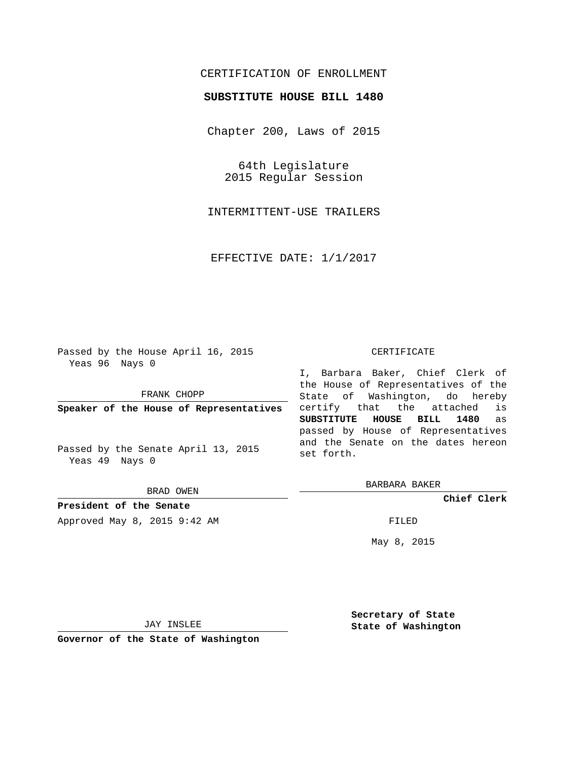# CERTIFICATION OF ENROLLMENT

### **SUBSTITUTE HOUSE BILL 1480**

Chapter 200, Laws of 2015

64th Legislature 2015 Regular Session

INTERMITTENT-USE TRAILERS

EFFECTIVE DATE: 1/1/2017

Passed by the House April 16, 2015 Yeas 96 Nays 0

FRANK CHOPP

**Speaker of the House of Representatives**

Passed by the Senate April 13, 2015 Yeas 49 Nays 0

BRAD OWEN

**President of the Senate**

Approved May 8, 2015 9:42 AM FILED

#### CERTIFICATE

I, Barbara Baker, Chief Clerk of the House of Representatives of the State of Washington, do hereby certify that the attached is **SUBSTITUTE HOUSE BILL 1480** as passed by House of Representatives and the Senate on the dates hereon set forth.

BARBARA BAKER

**Chief Clerk**

May 8, 2015

JAY INSLEE

**Governor of the State of Washington**

**Secretary of State State of Washington**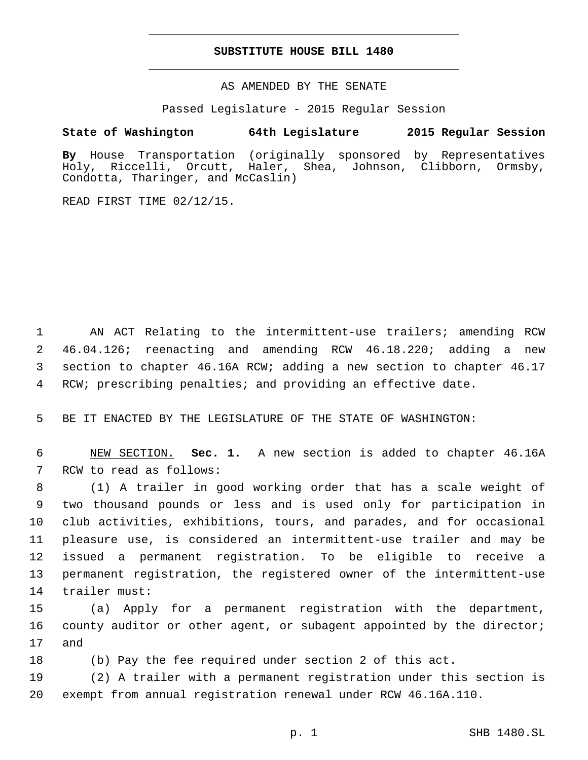### **SUBSTITUTE HOUSE BILL 1480**

AS AMENDED BY THE SENATE

Passed Legislature - 2015 Regular Session

## **State of Washington 64th Legislature 2015 Regular Session**

**By** House Transportation (originally sponsored by Representatives Holy, Riccelli, Orcutt, Haler, Shea, Johnson, Clibborn, Ormsby, Condotta, Tharinger, and McCaslin)

READ FIRST TIME 02/12/15.

 AN ACT Relating to the intermittent-use trailers; amending RCW 46.04.126; reenacting and amending RCW 46.18.220; adding a new section to chapter 46.16A RCW; adding a new section to chapter 46.17 RCW; prescribing penalties; and providing an effective date.

5 BE IT ENACTED BY THE LEGISLATURE OF THE STATE OF WASHINGTON:

6 NEW SECTION. **Sec. 1.** A new section is added to chapter 46.16A 7 RCW to read as follows:

 (1) A trailer in good working order that has a scale weight of two thousand pounds or less and is used only for participation in club activities, exhibitions, tours, and parades, and for occasional pleasure use, is considered an intermittent-use trailer and may be issued a permanent registration. To be eligible to receive a permanent registration, the registered owner of the intermittent-use 14 trailer must:

15 (a) Apply for a permanent registration with the department, 16 county auditor or other agent, or subagent appointed by the director; 17 and

18 (b) Pay the fee required under section 2 of this act.

19 (2) A trailer with a permanent registration under this section is 20 exempt from annual registration renewal under RCW 46.16A.110.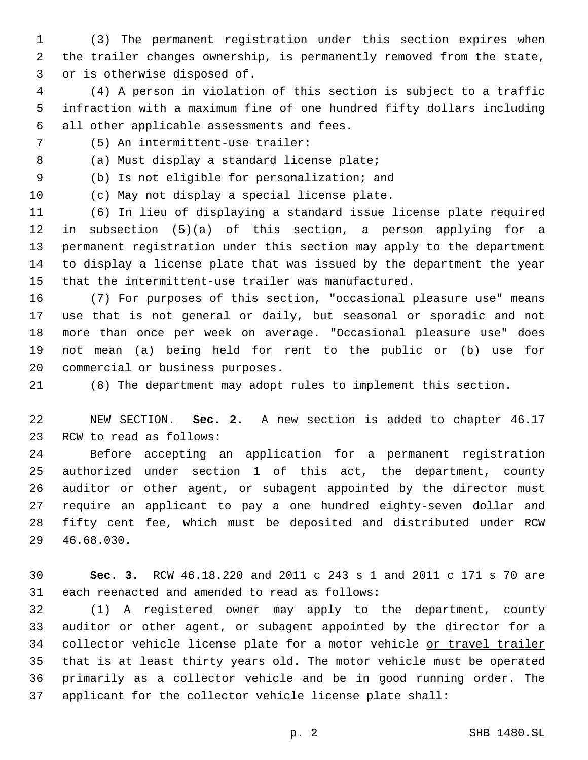(3) The permanent registration under this section expires when the trailer changes ownership, is permanently removed from the state, 3 or is otherwise disposed of.

 (4) A person in violation of this section is subject to a traffic infraction with a maximum fine of one hundred fifty dollars including 6 all other applicable assessments and fees.

(5) An intermittent-use trailer:7

8 (a) Must display a standard license plate;

9 (b) Is not eligible for personalization; and

10 (c) May not display a special license plate.

 (6) In lieu of displaying a standard issue license plate required in subsection (5)(a) of this section, a person applying for a permanent registration under this section may apply to the department to display a license plate that was issued by the department the year that the intermittent-use trailer was manufactured.

 (7) For purposes of this section, "occasional pleasure use" means use that is not general or daily, but seasonal or sporadic and not more than once per week on average. "Occasional pleasure use" does not mean (a) being held for rent to the public or (b) use for 20 commercial or business purposes.

(8) The department may adopt rules to implement this section.

 NEW SECTION. **Sec. 2.** A new section is added to chapter 46.17 23 RCW to read as follows:

 Before accepting an application for a permanent registration authorized under section 1 of this act, the department, county auditor or other agent, or subagent appointed by the director must require an applicant to pay a one hundred eighty-seven dollar and fifty cent fee, which must be deposited and distributed under RCW 46.68.030.29

 **Sec. 3.** RCW 46.18.220 and 2011 c 243 s 1 and 2011 c 171 s 70 are 31 each reenacted and amended to read as follows:

 (1) A registered owner may apply to the department, county auditor or other agent, or subagent appointed by the director for a 34 collector vehicle license plate for a motor vehicle or travel trailer that is at least thirty years old. The motor vehicle must be operated primarily as a collector vehicle and be in good running order. The applicant for the collector vehicle license plate shall: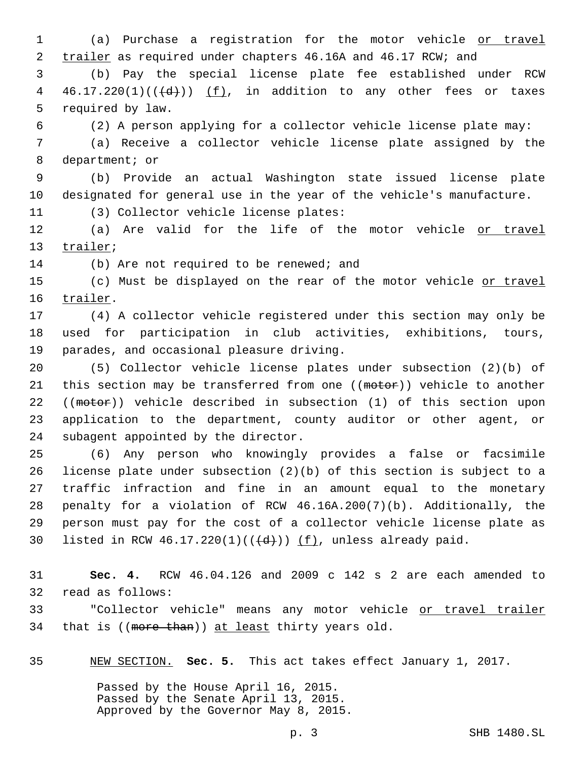1 (a) Purchase a registration for the motor vehicle or travel 2 trailer as required under chapters 46.16A and 46.17 RCW; and

3 (b) Pay the special license plate fee established under RCW 4  $46.17.220(1)((\langle d\rangle))$  (f), in addition to any other fees or taxes 5 required by law.

6 (2) A person applying for a collector vehicle license plate may:

7 (a) Receive a collector vehicle license plate assigned by the 8 department; or

9 (b) Provide an actual Washington state issued license plate 10 designated for general use in the year of the vehicle's manufacture.

11 (3) Collector vehicle license plates:

12 (a) Are valid for the life of the motor vehicle or travel 13 trailer;

14 (b) Are not required to be renewed; and

15 (c) Must be displayed on the rear of the motor vehicle or travel 16 trailer.

17 (4) A collector vehicle registered under this section may only be 18 used for participation in club activities, exhibitions, tours, 19 parades, and occasional pleasure driving.

20 (5) Collector vehicle license plates under subsection (2)(b) of 21 this section may be transferred from one ((motor)) vehicle to another 22 ((motor)) vehicle described in subsection (1) of this section upon 23 application to the department, county auditor or other agent, or 24 subagent appointed by the director.

 (6) Any person who knowingly provides a false or facsimile license plate under subsection (2)(b) of this section is subject to a traffic infraction and fine in an amount equal to the monetary penalty for a violation of RCW 46.16A.200(7)(b). Additionally, the person must pay for the cost of a collector vehicle license plate as 30 listed in RCW  $46.17.220(1)((\{d\}))$  (f), unless already paid.

31 **Sec. 4.** RCW 46.04.126 and 2009 c 142 s 2 are each amended to 32 read as follows:

33 "Collector vehicle" means any motor vehicle or travel trailer 34 that is  $((\text{more than}))$  at least thirty years old.

35 NEW SECTION. **Sec. 5.** This act takes effect January 1, 2017.

Passed by the House April 16, 2015. Passed by the Senate April 13, 2015. Approved by the Governor May 8, 2015.